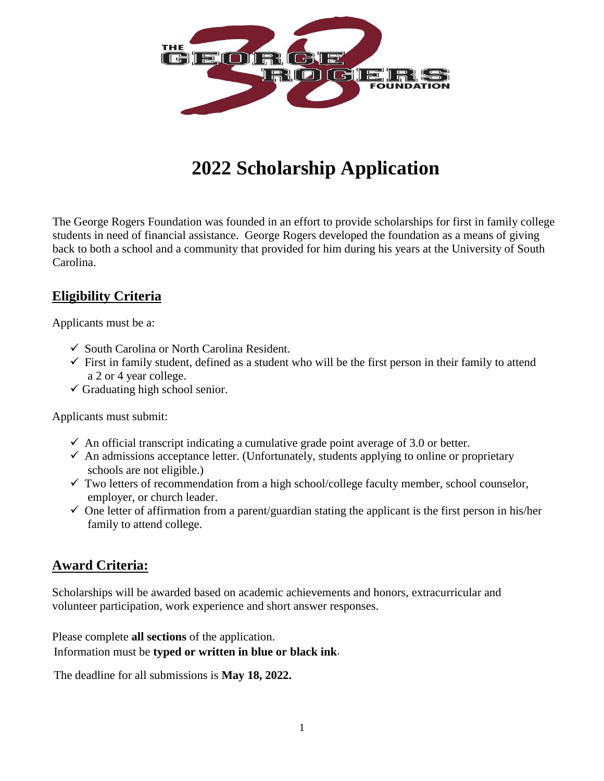

# **2022 Scholarship Application**

The George Rogers Foundation was founded in an effort to provide scholarships for first in family college students in need of financial assistance. George Rogers developed the foundation as a means of giving back to both a school and a community that provided for him during his years at the University of South Carolina.

## **Eligibility Criteria**

Applicants must be a:

- ✓ South Carolina or North Carolina Resident.
- $\checkmark$  First in family student, defined as a student who will be the first person in their family to attend a 2 or 4 year college.
- $\checkmark$  Graduating high school senior.

Applicants must submit:

- $\checkmark$  An official transcript indicating a cumulative grade point average of 3.0 or better.
- $\checkmark$  An admissions acceptance letter. (Unfortunately, students applying to online or proprietary schools are not eligible.)
- $\checkmark$  Two letters of recommendation from a high school/college faculty member, school counselor, employer, or church leader.
- $\checkmark$  One letter of affirmation from a parent/guardian stating the applicant is the first person in his/her family to attend college.

#### **Award Criteria:**

Scholarships will be awarded based on academic achievements and honors, extracurricular and volunteer participation, work experience and short answer responses.

Please complete **all sections** of the application.

Information must be **typed or written in blue or black ink**.

The deadline for all submissions is **May 18, 2022.**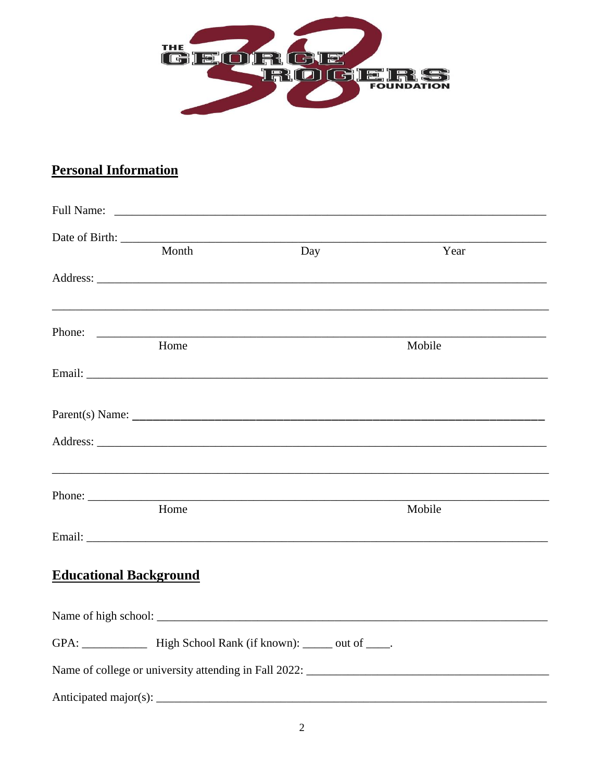

## **Personal Information**

|                               | Date of Birth: |        |                                                                                                                      |  |
|-------------------------------|----------------|--------|----------------------------------------------------------------------------------------------------------------------|--|
|                               | Month          | Day    | Year                                                                                                                 |  |
|                               |                |        |                                                                                                                      |  |
|                               |                | Phone: |                                                                                                                      |  |
|                               | Home           |        | Mobile                                                                                                               |  |
|                               |                |        |                                                                                                                      |  |
|                               |                |        |                                                                                                                      |  |
|                               |                |        |                                                                                                                      |  |
|                               |                | Phone: | <u> 1999 - Jan James James James James James James James James James James James James James James James James J</u> |  |
|                               | Home           |        | Mobile                                                                                                               |  |
|                               |                |        |                                                                                                                      |  |
| <b>Educational Background</b> |                |        |                                                                                                                      |  |
|                               |                |        |                                                                                                                      |  |
|                               |                |        |                                                                                                                      |  |
|                               |                |        |                                                                                                                      |  |
|                               |                |        |                                                                                                                      |  |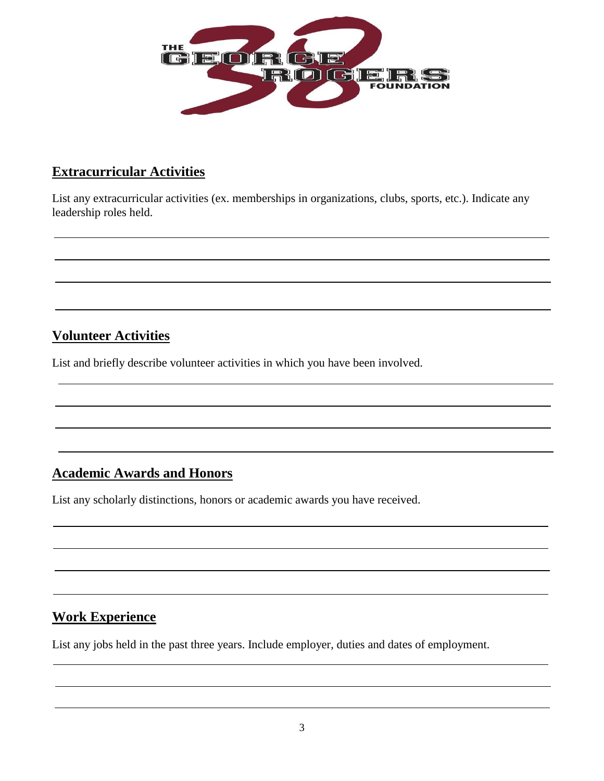

#### **Extracurricular Activities**

List any extracurricular activities (ex. memberships in organizations, clubs, sports, etc.). Indicate any leadership roles held.

## **Volunteer Activities**

List and briefly describe volunteer activities in which you have been involved.

## **Academic Awards and Honors**

List any scholarly distinctions, honors or academic awards you have received.

#### **Work Experience**

List any jobs held in the past three years. Include employer, duties and dates of employment.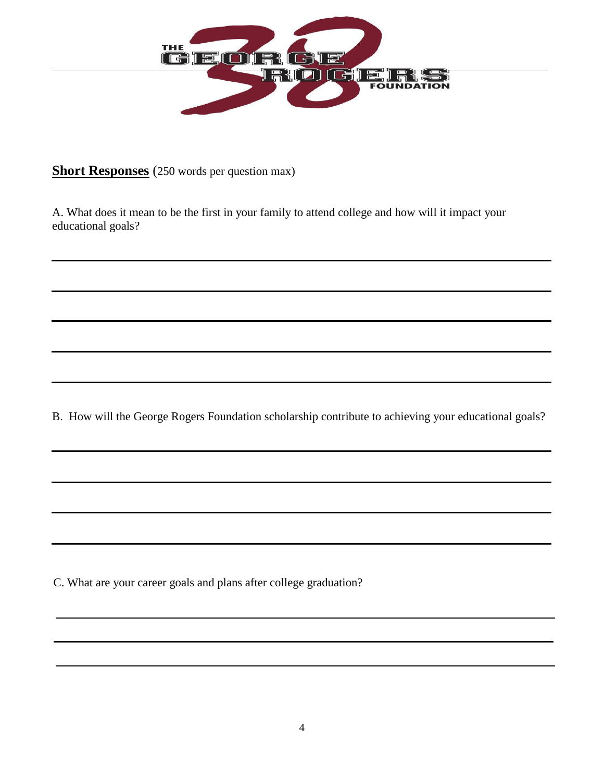

**Short Responses** (250 words per question max)

A. What does it mean to be the first in your family to attend college and how will it impact your educational goals?

B. How will the George Rogers Foundation scholarship contribute to achieving your educational goals?

C. What are your career goals and plans after college graduation?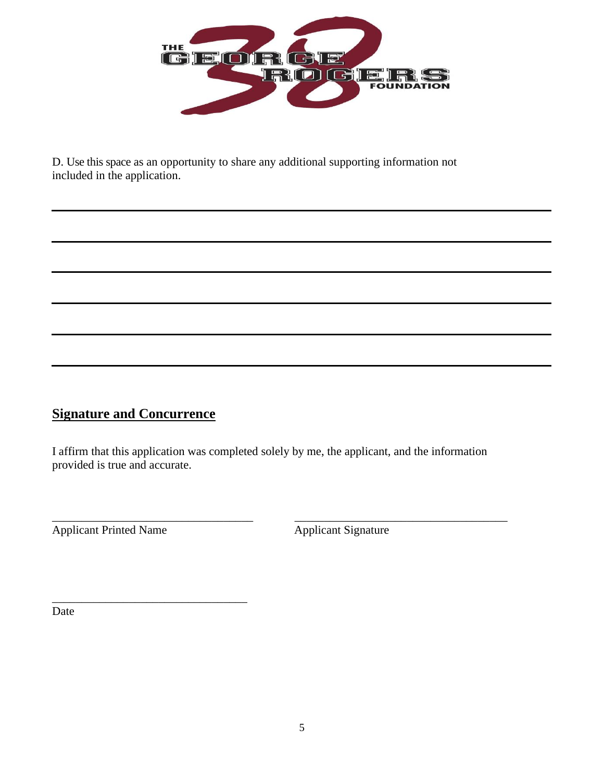

D. Use this space as an opportunity to share any additional supporting information not included in the application.

## **Signature and Concurrence**

\_\_\_\_\_\_\_\_\_\_\_\_\_\_\_\_\_\_\_\_\_\_\_\_\_\_\_\_\_\_\_\_\_

I affirm that this application was completed solely by me, the applicant, and the information provided is true and accurate.

\_\_\_\_\_\_\_\_\_\_\_\_\_\_\_\_\_\_\_\_\_\_\_\_\_\_\_\_\_\_\_\_\_\_ \_\_\_\_\_\_\_\_\_\_\_\_\_\_\_\_\_\_\_\_\_\_\_\_\_\_\_\_\_\_\_\_\_\_\_\_ Applicant Printed Name Applicant Signature

Date